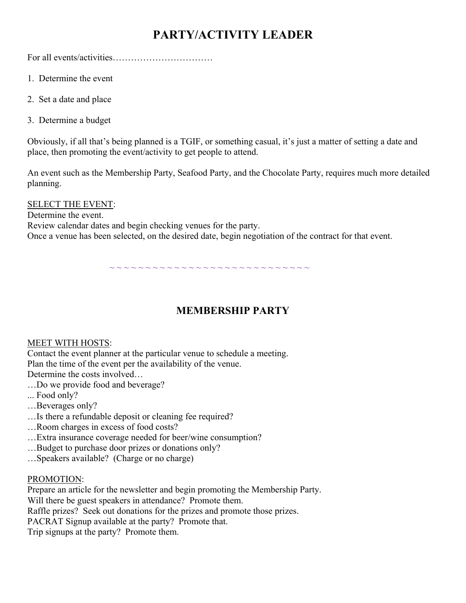# **PARTY/ACTIVITY LEADER**

For all events/activities……………………………

- 1. Determine the event
- 2. Set a date and place
- 3. Determine a budget

Obviously, if all that's being planned is a TGIF, or something casual, it's just a matter of setting a date and place, then promoting the event/activity to get people to attend.

An event such as the Membership Party, Seafood Party, and the Chocolate Party, requires much more detailed planning.

SELECT THE EVENT:

Determine the event. Review calendar dates and begin checking venues for the party. Once a venue has been selected, on the desired date, begin negotiation of the contract for that event.

~ ~ ~ ~ ~ ~ ~ ~ ~ ~ ~ ~ ~ ~ ~ ~ ~ ~ ~ ~ ~ ~ ~ ~ ~ ~ ~ ~

# **MEMBERSHIP PARTY**

### MEET WITH HOSTS:

Contact the event planner at the particular venue to schedule a meeting. Plan the time of the event per the availability of the venue.

Determine the costs involved…

- …Do we provide food and beverage?
- ... Food only?
- …Beverages only?
- …Is there a refundable deposit or cleaning fee required?
- …Room charges in excess of food costs?
- …Extra insurance coverage needed for beer/wine consumption?
- …Budget to purchase door prizes or donations only?
- …Speakers available? (Charge or no charge)

### PROMOTION:

Prepare an article for the newsletter and begin promoting the Membership Party. Will there be guest speakers in attendance? Promote them. Raffle prizes? Seek out donations for the prizes and promote those prizes. PACRAT Signup available at the party? Promote that. Trip signups at the party? Promote them.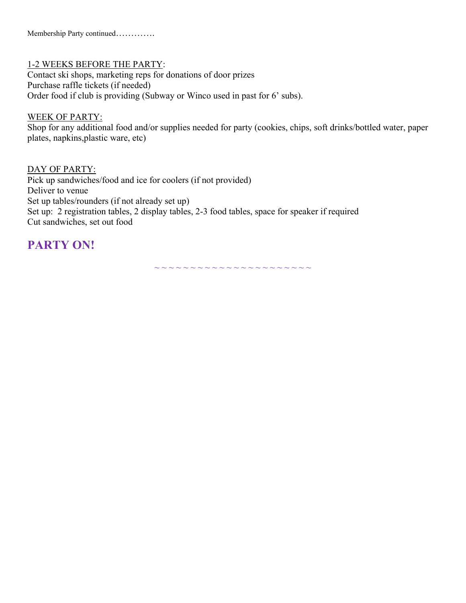### 1-2 WEEKS BEFORE THE PARTY:

Contact ski shops, marketing reps for donations of door prizes Purchase raffle tickets (if needed) Order food if club is providing (Subway or Winco used in past for 6' subs).

### WEEK OF PARTY:

Shop for any additional food and/or supplies needed for party (cookies, chips, soft drinks/bottled water, paper plates, napkins,plastic ware, etc)

### DAY OF PARTY:

Pick up sandwiches/food and ice for coolers (if not provided) Deliver to venue Set up tables/rounders (if not already set up) Set up: 2 registration tables, 2 display tables, 2-3 food tables, space for speaker if required Cut sandwiches, set out food

# **PARTY ON!**

~ ~ ~ ~ ~ ~ ~ ~ ~ ~ ~ ~ ~ ~ ~ ~ ~ ~ ~ ~ ~ ~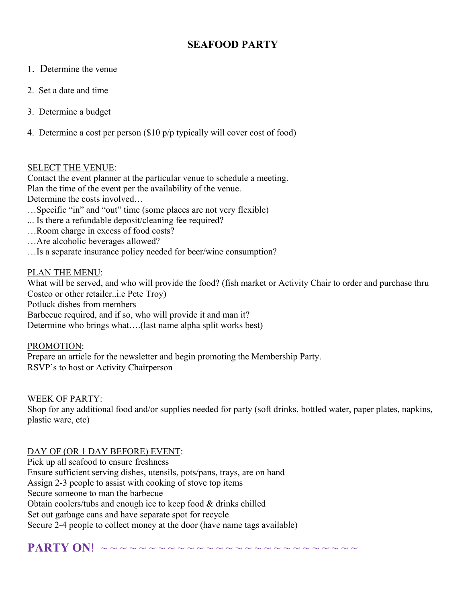## **SEAFOOD PARTY**

- 1. Determine the venue
- 2. Set a date and time
- 3. Determine a budget
- 4. Determine a cost per person (\$10 p/p typically will cover cost of food)

### SELECT THE VENUE:

Contact the event planner at the particular venue to schedule a meeting. Plan the time of the event per the availability of the venue. Determine the costs involved…

- …Specific "in" and "out" time (some places are not very flexible)
- ... Is there a refundable deposit/cleaning fee required?
- …Room charge in excess of food costs?
- …Are alcoholic beverages allowed?
- …Is a separate insurance policy needed for beer/wine consumption?

### PLAN THE MENU:

What will be served, and who will provide the food? (fish market or Activity Chair to order and purchase thru Costco or other retailer..i.e Pete Troy) Potluck dishes from members Barbecue required, and if so, who will provide it and man it? Determine who brings what….(last name alpha split works best)

### PROMOTION:

Prepare an article for the newsletter and begin promoting the Membership Party. RSVP's to host or Activity Chairperson

WEEK OF PARTY:

Shop for any additional food and/or supplies needed for party (soft drinks, bottled water, paper plates, napkins, plastic ware, etc)

### DAY OF (OR 1 DAY BEFORE) EVENT:

Pick up all seafood to ensure freshness Ensure sufficient serving dishes, utensils, pots/pans, trays, are on hand Assign 2-3 people to assist with cooking of stove top items Secure someone to man the barbecue Obtain coolers/tubs and enough ice to keep food & drinks chilled Set out garbage cans and have separate spot for recycle Secure 2-4 people to collect money at the door (have name tags available)

**PARTY ON**! ~~~~~~~~~~~~~~~~~~~~~~~~~~~~~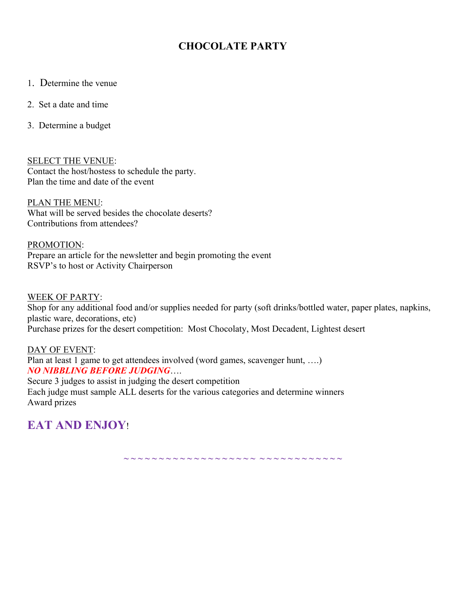### **CHOCOLATE PARTY**

- 1. Determine the venue
- 2. Set a date and time
- 3. Determine a budget

SELECT THE VENUE: Contact the host/hostess to schedule the party. Plan the time and date of the event

PLAN THE MENU: What will be served besides the chocolate deserts? Contributions from attendees?

PROMOTION: Prepare an article for the newsletter and begin promoting the event RSVP's to host or Activity Chairperson

WEEK OF PARTY: Shop for any additional food and/or supplies needed for party (soft drinks/bottled water, paper plates, napkins, plastic ware, decorations, etc) Purchase prizes for the desert competition: Most Chocolaty, Most Decadent, Lightest desert

DAY OF EVENT: Plan at least 1 game to get attendees involved (word games, scavenger hunt, ....) *NO NIBBLING BEFORE JUDGING*…. Secure 3 judges to assist in judging the desert competition Each judge must sample ALL deserts for the various categories and determine winners Award prizes

**EAT AND ENJOY**!

**~ ~ ~ ~ ~ ~ ~ ~ ~ ~ ~ ~ ~ ~ ~ ~ ~ ~ ~ ~ ~ ~ ~ ~ ~ ~ ~ ~ ~ ~ ~**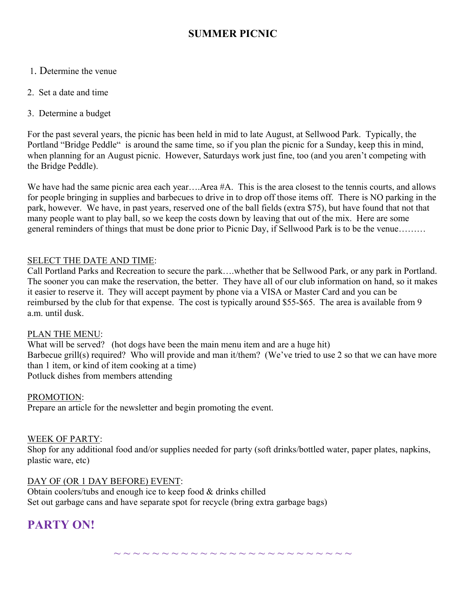### **SUMMER PICNIC**

- 1. Determine the venue
- 2. Set a date and time
- 3. Determine a budget

For the past several years, the picnic has been held in mid to late August, at Sellwood Park. Typically, the Portland "Bridge Peddle" is around the same time, so if you plan the picnic for a Sunday, keep this in mind, when planning for an August picnic. However, Saturdays work just fine, too (and you aren't competing with the Bridge Peddle).

We have had the same picnic area each year....Area #A. This is the area closest to the tennis courts, and allows for people bringing in supplies and barbecues to drive in to drop off those items off. There is NO parking in the park, however. We have, in past years, reserved one of the ball fields (extra \$75), but have found that not that many people want to play ball, so we keep the costs down by leaving that out of the mix. Here are some general reminders of things that must be done prior to Picnic Day, if Sellwood Park is to be the venue………

### SELECT THE DATE AND TIME:

Call Portland Parks and Recreation to secure the park….whether that be Sellwood Park, or any park in Portland. The sooner you can make the reservation, the better. They have all of our club information on hand, so it makes it easier to reserve it. They will accept payment by phone via a VISA or Master Card and you can be reimbursed by the club for that expense. The cost is typically around \$55-\$65. The area is available from 9 a.m. until dusk.

### PLAN THE MENU:

What will be served? (hot dogs have been the main menu item and are a huge hit) Barbecue grill(s) required? Who will provide and man it/them? (We've tried to use 2 so that we can have more than 1 item, or kind of item cooking at a time) Potluck dishes from members attending

#### PROMOTION:

Prepare an article for the newsletter and begin promoting the event.

### WEEK OF PARTY:

Shop for any additional food and/or supplies needed for party (soft drinks/bottled water, paper plates, napkins, plastic ware, etc)

### DAY OF (OR 1 DAY BEFORE) EVENT:

Obtain coolers/tubs and enough ice to keep food & drinks chilled Set out garbage cans and have separate spot for recycle (bring extra garbage bags)

# **PARTY ON!**

~ ~ ~ ~ ~ ~ ~ ~ ~ ~ ~ ~ ~ ~ ~ ~ ~ ~ ~ ~ ~ ~ ~ ~ ~